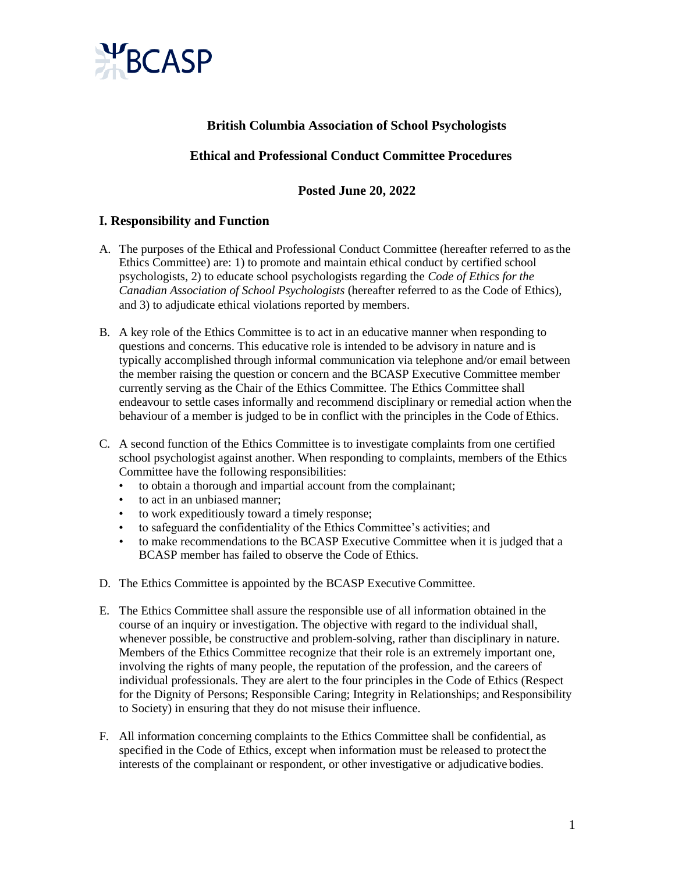

# **British Columbia Association of School Psychologists**

## **Ethical and Professional Conduct Committee Procedures**

## **Posted June 20, 2022**

### **I. Responsibility and Function**

- A. The purposes of the Ethical and Professional Conduct Committee (hereafter referred to asthe Ethics Committee) are: 1) to promote and maintain ethical conduct by certified school psychologists, 2) to educate school psychologists regarding the *Code of Ethics for the Canadian Association of School Psychologists* (hereafter referred to as the Code of Ethics), and 3) to adjudicate ethical violations reported by members.
- B. A key role of the Ethics Committee is to act in an educative manner when responding to questions and concerns. This educative role is intended to be advisory in nature and is typically accomplished through informal communication via telephone and/or email between the member raising the question or concern and the BCASP Executive Committee member currently serving as the Chair of the Ethics Committee. The Ethics Committee shall endeavour to settle cases informally and recommend disciplinary or remedial action when the behaviour of a member is judged to be in conflict with the principles in the Code of Ethics.
- C. A second function of the Ethics Committee is to investigate complaints from one certified school psychologist against another. When responding to complaints, members of the Ethics Committee have the following responsibilities:
	- to obtain a thorough and impartial account from the complainant;
	- to act in an unbiased manner;
	- to work expeditiously toward a timely response;
	- to safeguard the confidentiality of the Ethics Committee's activities; and
	- to make recommendations to the BCASP Executive Committee when it is judged that a BCASP member has failed to observe the Code of Ethics.
- D. The Ethics Committee is appointed by the BCASP Executive Committee.
- E. The Ethics Committee shall assure the responsible use of all information obtained in the course of an inquiry or investigation. The objective with regard to the individual shall, whenever possible, be constructive and problem-solving, rather than disciplinary in nature. Members of the Ethics Committee recognize that their role is an extremely important one, involving the rights of many people, the reputation of the profession, and the careers of individual professionals. They are alert to the four principles in the Code of Ethics (Respect for the Dignity of Persons; Responsible Caring; Integrity in Relationships; and Responsibility to Society) in ensuring that they do not misuse their influence.
- F. All information concerning complaints to the Ethics Committee shall be confidential, as specified in the Code of Ethics, except when information must be released to protect the interests of the complainant or respondent, or other investigative or adjudicative bodies.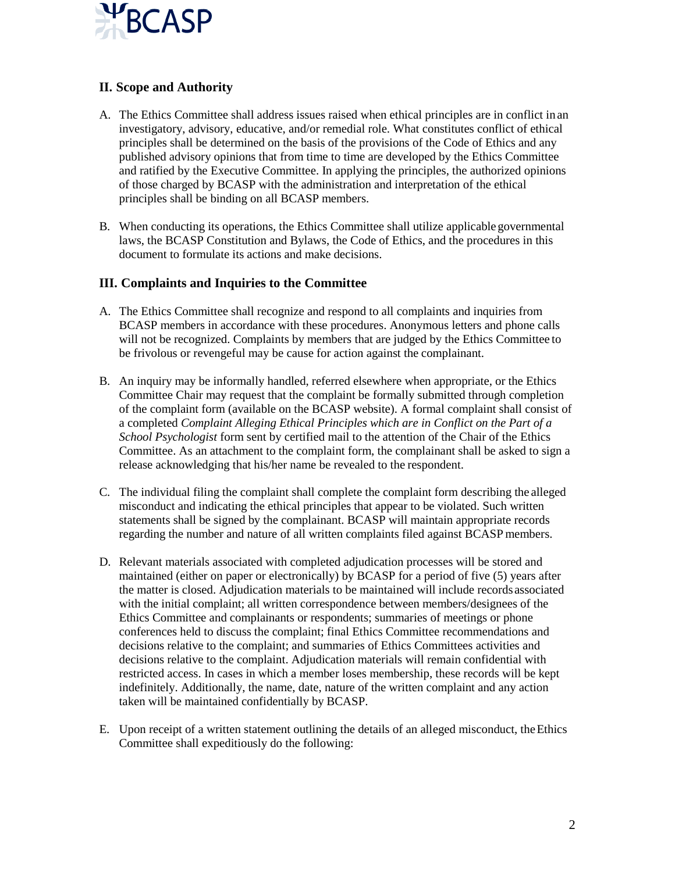

## **II. Scope and Authority**

- A. The Ethics Committee shall address issues raised when ethical principles are in conflict in an investigatory, advisory, educative, and/or remedial role. What constitutes conflict of ethical principles shall be determined on the basis of the provisions of the Code of Ethics and any published advisory opinions that from time to time are developed by the Ethics Committee and ratified by the Executive Committee. In applying the principles, the authorized opinions of those charged by BCASP with the administration and interpretation of the ethical principles shall be binding on all BCASP members.
- B. When conducting its operations, the Ethics Committee shall utilize applicablegovernmental laws, the BCASP Constitution and Bylaws, the Code of Ethics, and the procedures in this document to formulate its actions and make decisions.

### **III. Complaints and Inquiries to the Committee**

- A. The Ethics Committee shall recognize and respond to all complaints and inquiries from BCASP members in accordance with these procedures. Anonymous letters and phone calls will not be recognized. Complaints by members that are judged by the Ethics Committee to be frivolous or revengeful may be cause for action against the complainant.
- B. An inquiry may be informally handled, referred elsewhere when appropriate, or the Ethics Committee Chair may request that the complaint be formally submitted through completion of the complaint form (available on the BCASP website). A formal complaint shall consist of a completed *Complaint Alleging Ethical Principles which are in Conflict on the Part of a School Psychologist* form sent by certified mail to the attention of the Chair of the Ethics Committee. As an attachment to the complaint form, the complainant shall be asked to sign a release acknowledging that his/her name be revealed to the respondent.
- C. The individual filing the complaint shall complete the complaint form describing the alleged misconduct and indicating the ethical principles that appear to be violated. Such written statements shall be signed by the complainant. BCASP will maintain appropriate records regarding the number and nature of all written complaints filed against BCASP members.
- D. Relevant materials associated with completed adjudication processes will be stored and maintained (either on paper or electronically) by BCASP for a period of five (5) years after the matter is closed. Adjudication materials to be maintained will include recordsassociated with the initial complaint; all written correspondence between members/designees of the Ethics Committee and complainants or respondents; summaries of meetings or phone conferences held to discuss the complaint; final Ethics Committee recommendations and decisions relative to the complaint; and summaries of Ethics Committees activities and decisions relative to the complaint. Adjudication materials will remain confidential with restricted access. In cases in which a member loses membership, these records will be kept indefinitely. Additionally, the name, date, nature of the written complaint and any action taken will be maintained confidentially by BCASP.
- E. Upon receipt of a written statement outlining the details of an alleged misconduct, theEthics Committee shall expeditiously do the following: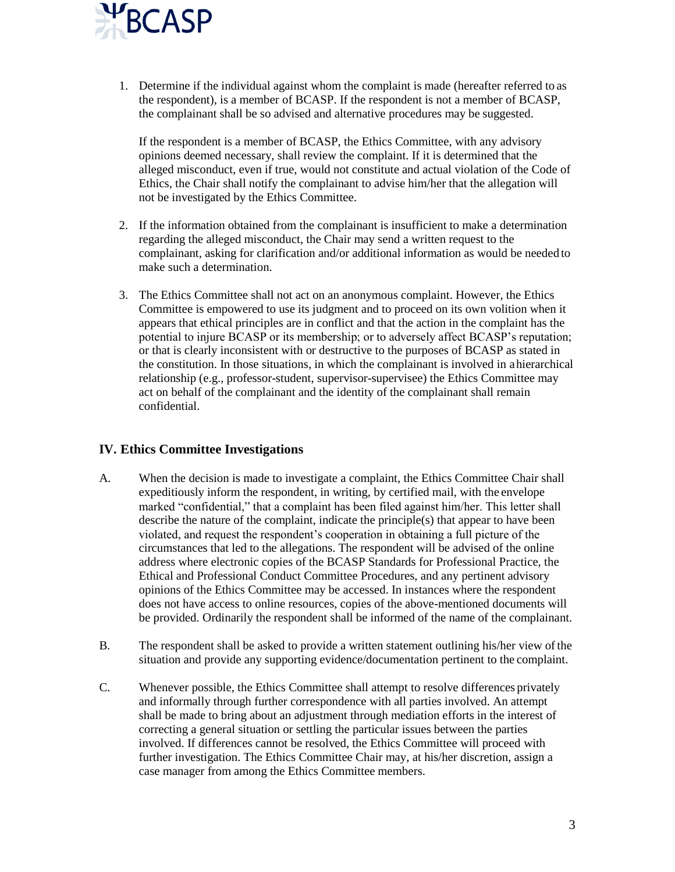

1. Determine if the individual against whom the complaint is made (hereafter referred to as the respondent), is a member of BCASP. If the respondent is not a member of BCASP, the complainant shall be so advised and alternative procedures may be suggested.

If the respondent is a member of BCASP, the Ethics Committee, with any advisory opinions deemed necessary, shall review the complaint. If it is determined that the alleged misconduct, even if true, would not constitute and actual violation of the Code of Ethics, the Chair shall notify the complainant to advise him/her that the allegation will not be investigated by the Ethics Committee.

- 2. If the information obtained from the complainant is insufficient to make a determination regarding the alleged misconduct, the Chair may send a written request to the complainant, asking for clarification and/or additional information as would be needed to make such a determination.
- 3. The Ethics Committee shall not act on an anonymous complaint. However, the Ethics Committee is empowered to use its judgment and to proceed on its own volition when it appears that ethical principles are in conflict and that the action in the complaint has the potential to injure BCASP or its membership; or to adversely affect BCASP's reputation; or that is clearly inconsistent with or destructive to the purposes of BCASP as stated in the constitution. In those situations, in which the complainant is involved in ahierarchical relationship (e.g., professor-student, supervisor-supervisee) the Ethics Committee may act on behalf of the complainant and the identity of the complainant shall remain confidential.

### **IV. Ethics Committee Investigations**

- A. When the decision is made to investigate a complaint, the Ethics Committee Chair shall expeditiously inform the respondent, in writing, by certified mail, with the envelope marked "confidential," that a complaint has been filed against him/her. This letter shall describe the nature of the complaint, indicate the principle(s) that appear to have been violated, and request the respondent's cooperation in obtaining a full picture of the circumstances that led to the allegations. The respondent will be advised of the online address where electronic copies of the BCASP Standards for Professional Practice, the Ethical and Professional Conduct Committee Procedures, and any pertinent advisory opinions of the Ethics Committee may be accessed. In instances where the respondent does not have access to online resources, copies of the above-mentioned documents will be provided. Ordinarily the respondent shall be informed of the name of the complainant.
- B. The respondent shall be asked to provide a written statement outlining his/her view ofthe situation and provide any supporting evidence/documentation pertinent to the complaint.
- C. Whenever possible, the Ethics Committee shall attempt to resolve differences privately and informally through further correspondence with all parties involved. An attempt shall be made to bring about an adjustment through mediation efforts in the interest of correcting a general situation or settling the particular issues between the parties involved. If differences cannot be resolved, the Ethics Committee will proceed with further investigation. The Ethics Committee Chair may, at his/her discretion, assign a case manager from among the Ethics Committee members.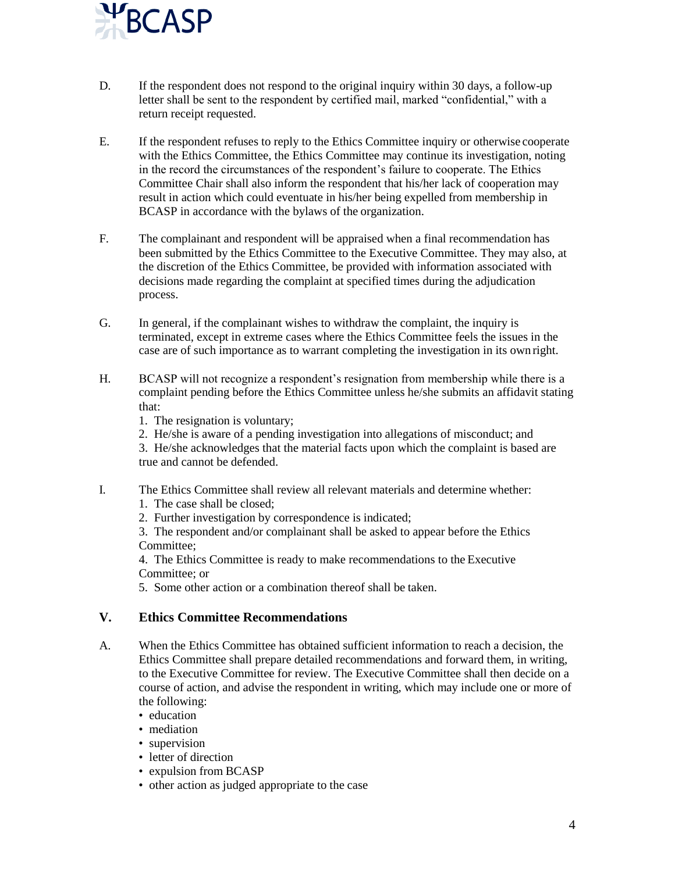

- D. If the respondent does not respond to the original inquiry within 30 days, a follow-up letter shall be sent to the respondent by certified mail, marked "confidential," with a return receipt requested.
- E. If the respondent refuses to reply to the Ethics Committee inquiry or otherwise cooperate with the Ethics Committee, the Ethics Committee may continue its investigation, noting in the record the circumstances of the respondent's failure to cooperate. The Ethics Committee Chair shall also inform the respondent that his/her lack of cooperation may result in action which could eventuate in his/her being expelled from membership in BCASP in accordance with the bylaws of the organization.
- F. The complainant and respondent will be appraised when a final recommendation has been submitted by the Ethics Committee to the Executive Committee. They may also, at the discretion of the Ethics Committee, be provided with information associated with decisions made regarding the complaint at specified times during the adjudication process.
- G. In general, if the complainant wishes to withdraw the complaint, the inquiry is terminated, except in extreme cases where the Ethics Committee feels the issues in the case are of such importance as to warrant completing the investigation in its own right.
- H. BCASP will not recognize a respondent's resignation from membership while there is a complaint pending before the Ethics Committee unless he/she submits an affidavit stating that:
	- 1. The resignation is voluntary;
	- 2. He/she is aware of a pending investigation into allegations of misconduct; and
	- 3. He/she acknowledges that the material facts upon which the complaint is based are true and cannot be defended.
- I. The Ethics Committee shall review all relevant materials and determine whether:
	- 1. The case shall be closed;
	- 2. Further investigation by correspondence is indicated;

3. The respondent and/or complainant shall be asked to appear before the Ethics Committee;

4. The Ethics Committee is ready to make recommendations to the Executive Committee: or

5. Some other action or a combination thereof shall be taken.

### **V. Ethics Committee Recommendations**

- A. When the Ethics Committee has obtained sufficient information to reach a decision, the Ethics Committee shall prepare detailed recommendations and forward them, in writing, to the Executive Committee for review. The Executive Committee shall then decide on a course of action, and advise the respondent in writing, which may include one or more of the following:
	- education
	- mediation
	- supervision
	- letter of direction
	- expulsion from BCASP
	- other action as judged appropriate to the case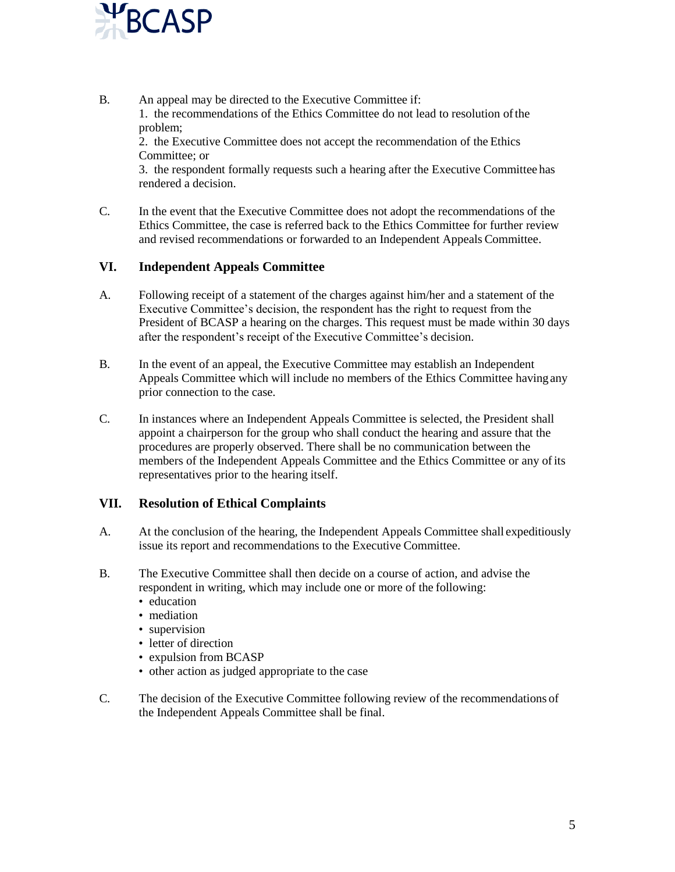

B. An appeal may be directed to the Executive Committee if: 1. the recommendations of the Ethics Committee do not lead to resolution ofthe problem;

2. the Executive Committee does not accept the recommendation of the Ethics Committee; or

3. the respondent formally requests such a hearing after the Executive Committee has rendered a decision.

C. In the event that the Executive Committee does not adopt the recommendations of the Ethics Committee, the case is referred back to the Ethics Committee for further review and revised recommendations or forwarded to an Independent Appeals Committee.

### **VI. Independent Appeals Committee**

- A. Following receipt of a statement of the charges against him/her and a statement of the Executive Committee's decision, the respondent has the right to request from the President of BCASP a hearing on the charges. This request must be made within 30 days after the respondent's receipt of the Executive Committee's decision.
- B. In the event of an appeal, the Executive Committee may establish an Independent Appeals Committee which will include no members of the Ethics Committee havingany prior connection to the case.
- C. In instances where an Independent Appeals Committee is selected, the President shall appoint a chairperson for the group who shall conduct the hearing and assure that the procedures are properly observed. There shall be no communication between the members of the Independent Appeals Committee and the Ethics Committee or any ofits representatives prior to the hearing itself.

### **VII. Resolution of Ethical Complaints**

- A. At the conclusion of the hearing, the Independent Appeals Committee shall expeditiously issue its report and recommendations to the Executive Committee.
- B. The Executive Committee shall then decide on a course of action, and advise the respondent in writing, which may include one or more of the following:
	- education
	- mediation
	- supervision
	- letter of direction
	- expulsion from BCASP
	- other action as judged appropriate to the case
- C. The decision of the Executive Committee following review of the recommendations of the Independent Appeals Committee shall be final.